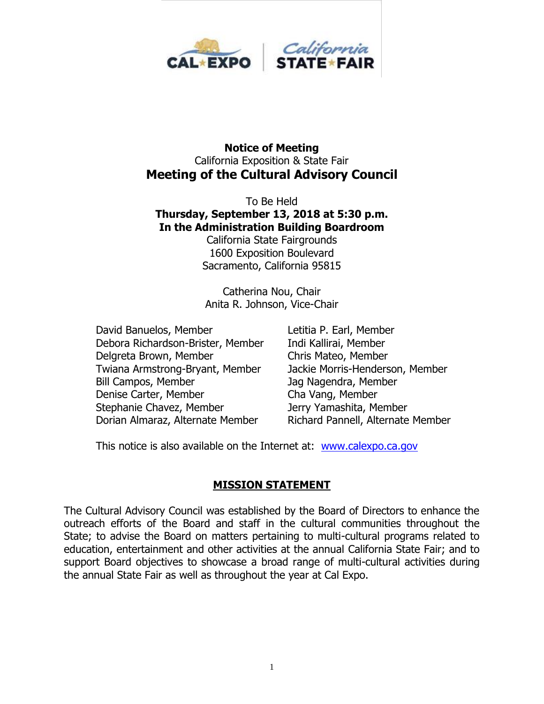

#### **Notice of Meeting** California Exposition & State Fair **Meeting of the Cultural Advisory Council**

To Be Held **Thursday, September 13, 2018 at 5:30 p.m. In the Administration Building Boardroom**

California State Fairgrounds 1600 Exposition Boulevard Sacramento, California 95815

Catherina Nou, Chair Anita R. Johnson, Vice-Chair

David Banuelos, Member Letitia P. Earl, Member Debora Richardson-Brister, Member Indi Kallirai, Member Delgreta Brown, Member Chris Mateo, Member Twiana Armstrong-Bryant, Member Jackie Morris-Henderson, Member Bill Campos, Member Jag Nagendra, Member Denise Carter, Member Cha Vang, Member Stephanie Chavez, Member **Jerry Yamashita, Member** Dorian Almaraz, Alternate Member Richard Pannell, Alternate Member

This notice is also available on the Internet at: [www.calexpo.ca.gov](http://www.calexpo.ca.gov/)

#### **MISSION STATEMENT**

The Cultural Advisory Council was established by the Board of Directors to enhance the outreach efforts of the Board and staff in the cultural communities throughout the State; to advise the Board on matters pertaining to multi-cultural programs related to education, entertainment and other activities at the annual California State Fair; and to support Board objectives to showcase a broad range of multi-cultural activities during the annual State Fair as well as throughout the year at Cal Expo.